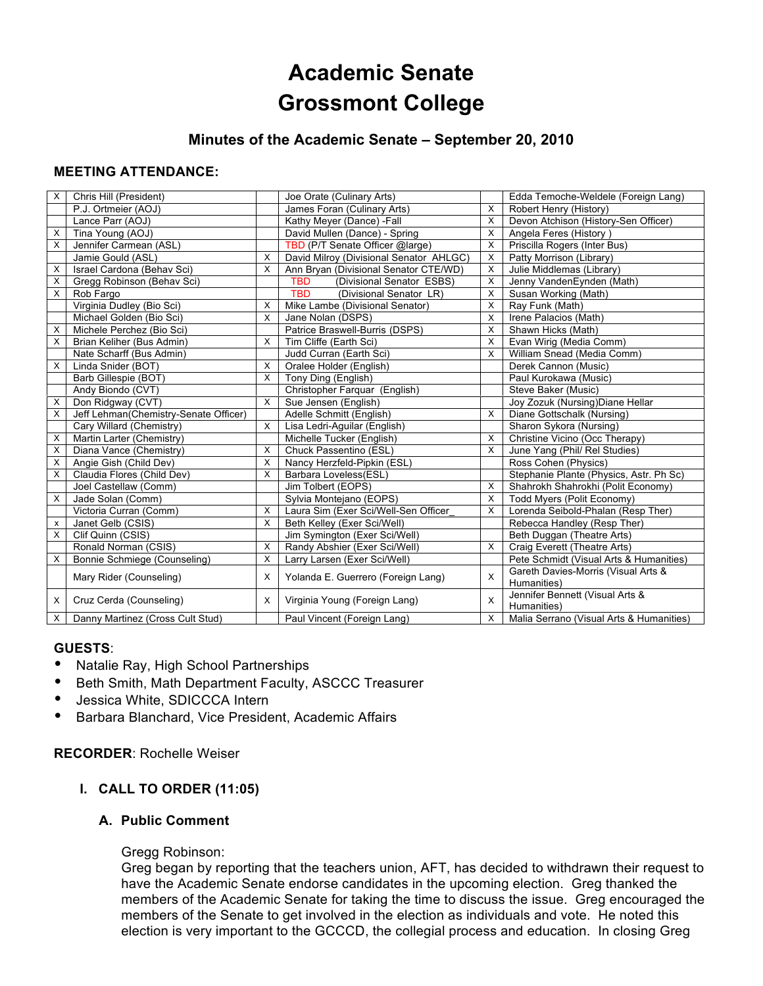# **Academic Senate Grossmont College**

# **Minutes of the Academic Senate – September 20, 2010**

# **MEETING ATTENDANCE:**

| X        | Chris Hill (President)                |              | Joe Orate (Culinary Arts)               |   | Edda Temoche-Weldele (Foreign Lang)                |
|----------|---------------------------------------|--------------|-----------------------------------------|---|----------------------------------------------------|
|          | P.J. Ortmeier (AOJ)                   |              | James Foran (Culinary Arts)             | X | Robert Henry (History)                             |
|          | Lance Parr (AOJ)                      |              | Kathy Meyer (Dance) -Fall               | X | Devon Atchison (History-Sen Officer)               |
| X        | Tina Young (AOJ)                      |              | David Mullen (Dance) - Spring           | X | Angela Feres (History)                             |
| X        | Jennifer Carmean (ASL)                |              | TBD (P/T Senate Officer @large)         | X | Priscilla Rogers (Inter Bus)                       |
|          | Jamie Gould (ASL)                     | X            | David Milroy (Divisional Senator AHLGC) | X | Patty Morrison (Library)                           |
| X        | Israel Cardona (Behav Sci)            | X            | Ann Bryan (Divisional Senator CTE/WD)   | X | Julie Middlemas (Library)                          |
| X        | Gregg Robinson (Behav Sci)            |              | <b>TBD</b><br>(Divisional Senator ESBS) | X | Jenny VandenEynden (Math)                          |
| X        | Rob Fargo                             |              | <b>TBD</b><br>(Divisional Senator LR)   | X | Susan Working (Math)                               |
|          | Virginia Dudley (Bio Sci)             | X            | Mike Lambe (Divisional Senator)         | X | Ray Funk (Math)                                    |
|          | Michael Golden (Bio Sci)              | $\times$     | Jane Nolan (DSPS)                       | X | Irene Palacios (Math)                              |
| х        | Michele Perchez (Bio Sci)             |              | Patrice Braswell-Burris (DSPS)          | X | Shawn Hicks (Math)                                 |
| X        | Brian Keliher (Bus Admin)             | $\times$     | Tim Cliffe (Earth Sci)                  | X | Evan Wirig (Media Comm)                            |
|          | Nate Scharff (Bus Admin)              |              | Judd Curran (Earth Sci)                 | X | William Snead (Media Comm)                         |
| $\times$ | Linda Snider (BOT)                    | X            | Oralee Holder (English)                 |   | Derek Cannon (Music)                               |
|          | Barb Gillespie (BOT)                  | $\times$     | Tony Ding (English)                     |   | Paul Kurokawa (Music)                              |
|          | Andy Biondo (CVT)                     |              | Christopher Farquar (English)           |   | Steve Baker (Music)                                |
| X        | Don Ridgway (CVT)                     | $\times$     | Sue Jensen (English)                    |   | Joy Zozuk (Nursing) Diane Hellar                   |
| X        | Jeff Lehman(Chemistry-Senate Officer) |              | Adelle Schmitt (English)                | X | Diane Gottschalk (Nursing)                         |
|          | Cary Willard (Chemistry)              | $\mathsf{X}$ | Lisa Ledri-Aguilar (English)            |   | Sharon Sykora (Nursing)                            |
| Χ        | Martin Larter (Chemistry)             |              | Michelle Tucker (English)               | X | Christine Vicino (Occ Therapy)                     |
| X        | Diana Vance (Chemistry)               | X            | Chuck Passentino (ESL)                  | X | June Yang (Phil/ Rel Studies)                      |
| X        | Angie Gish (Child Dev)                | X            | Nancy Herzfeld-Pipkin (ESL)             |   | Ross Cohen (Physics)                               |
| X        | Claudia Flores (Child Dev)            | X            | Barbara Loveless(ESL)                   |   | Stephanie Plante (Physics, Astr. Ph Sc)            |
|          | Joel Castellaw (Comm)                 |              | Jim Tolbert (EOPS)                      | X | Shahrokh Shahrokhi (Polit Economy)                 |
| X        | Jade Solan (Comm)                     |              | Sylvia Montejano (EOPS)                 | X | Todd Myers (Polit Economy)                         |
|          | Victoria Curran (Comm)                | X            | Laura Sim (Exer Sci/Well-Sen Officer    | X | Lorenda Seibold-Phalan (Resp Ther)                 |
| x        | Janet Gelb (CSIS)                     | X            | Beth Kelley (Exer Sci/Well)             |   | Rebecca Handley (Resp Ther)                        |
| X        | Clif Quinn (CSIS)                     |              | Jim Symington (Exer Sci/Well)           |   | Beth Duggan (Theatre Arts)                         |
|          | Ronald Norman (CSIS)                  | $\mathsf{X}$ | Randy Abshier (Exer Sci/Well)           | X | Craig Everett (Theatre Arts)                       |
| X        | Bonnie Schmiege (Counseling)          | $\mathsf{X}$ | Larry Larsen (Exer Sci/Well)            |   | Pete Schmidt (Visual Arts & Humanities)            |
|          | Mary Rider (Counseling)               | $\times$     | Yolanda E. Guerrero (Foreign Lang)      | X | Gareth Davies-Morris (Visual Arts &<br>Humanities) |
| X        | Cruz Cerda (Counseling)               | X            | Virginia Young (Foreign Lang)           | X | Jennifer Bennett (Visual Arts &<br>Humanities)     |
| X        | Danny Martinez (Cross Cult Stud)      |              | Paul Vincent (Foreign Lang)             | X | Malia Serrano (Visual Arts & Humanities)           |

# **GUESTS**:

- Natalie Ray, High School Partnerships
- Beth Smith, Math Department Faculty, ASCCC Treasurer<br>• lossics White, SDICCCA Intern
- Jessica White, SDICCCA Intern
- Barbara Blanchard, Vice President, Academic Affairs

**RECORDER**: Rochelle Weiser

# **I. CALL TO ORDER (11:05)**

# **A. Public Comment**

#### Gregg Robinson:

Greg began by reporting that the teachers union, AFT, has decided to withdrawn their request to have the Academic Senate endorse candidates in the upcoming election. Greg thanked the members of the Academic Senate for taking the time to discuss the issue. Greg encouraged the members of the Senate to get involved in the election as individuals and vote. He noted this election is very important to the GCCCD, the collegial process and education. In closing Greg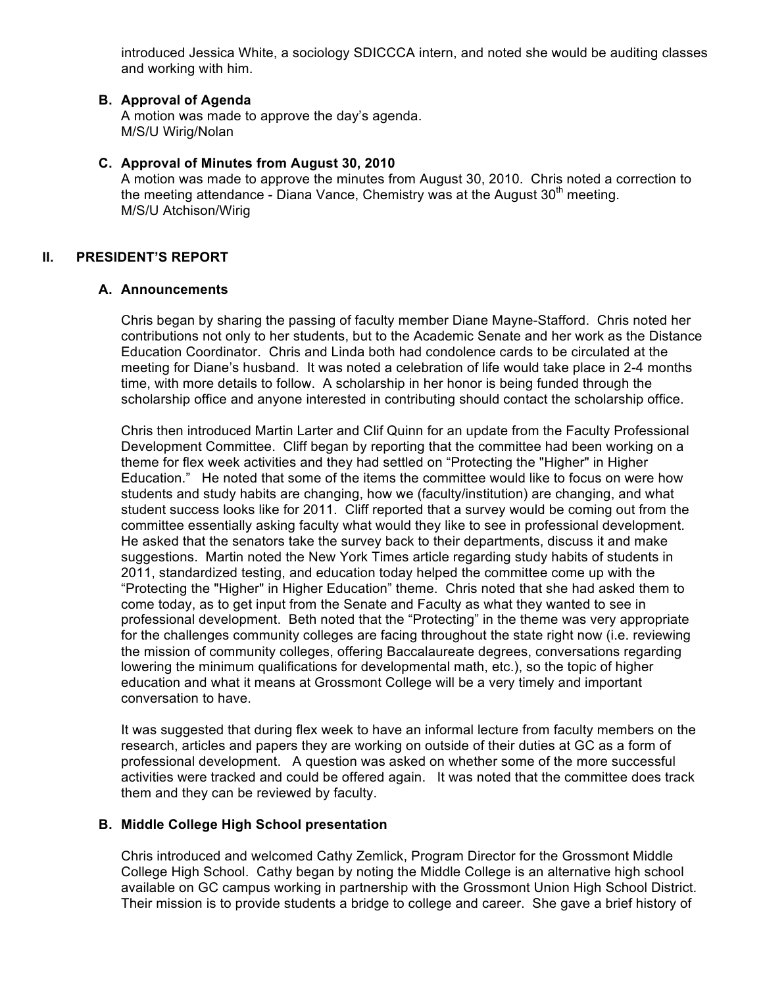introduced Jessica White, a sociology SDICCCA intern, and noted she would be auditing classes and working with him.

## **B. Approval of Agenda**

A motion was made to approve the day's agenda. M/S/U Wirig/Nolan

#### **C. Approval of Minutes from August 30, 2010**

A motion was made to approve the minutes from August 30, 2010. Chris noted a correction to the meeting attendance - Diana Vance, Chemistry was at the August  $30<sup>th</sup>$  meeting. M/S/U Atchison/Wirig

#### **II. PRESIDENT'S REPORT**

#### **A. Announcements**

Chris began by sharing the passing of faculty member Diane Mayne-Stafford. Chris noted her contributions not only to her students, but to the Academic Senate and her work as the Distance Education Coordinator. Chris and Linda both had condolence cards to be circulated at the meeting for Diane's husband. It was noted a celebration of life would take place in 2-4 months time, with more details to follow. A scholarship in her honor is being funded through the scholarship office and anyone interested in contributing should contact the scholarship office.

Chris then introduced Martin Larter and Clif Quinn for an update from the Faculty Professional Development Committee. Cliff began by reporting that the committee had been working on a theme for flex week activities and they had settled on "Protecting the "Higher" in Higher Education." He noted that some of the items the committee would like to focus on were how students and study habits are changing, how we (faculty/institution) are changing, and what student success looks like for 2011. Cliff reported that a survey would be coming out from the committee essentially asking faculty what would they like to see in professional development. He asked that the senators take the survey back to their departments, discuss it and make suggestions. Martin noted the New York Times article regarding study habits of students in 2011, standardized testing, and education today helped the committee come up with the "Protecting the "Higher" in Higher Education" theme. Chris noted that she had asked them to come today, as to get input from the Senate and Faculty as what they wanted to see in professional development. Beth noted that the "Protecting" in the theme was very appropriate for the challenges community colleges are facing throughout the state right now (i.e. reviewing the mission of community colleges, offering Baccalaureate degrees, conversations regarding lowering the minimum qualifications for developmental math, etc.), so the topic of higher education and what it means at Grossmont College will be a very timely and important conversation to have.

It was suggested that during flex week to have an informal lecture from faculty members on the research, articles and papers they are working on outside of their duties at GC as a form of professional development. A question was asked on whether some of the more successful activities were tracked and could be offered again. It was noted that the committee does track them and they can be reviewed by faculty.

# **B. Middle College High School presentation**

Chris introduced and welcomed Cathy Zemlick, Program Director for the Grossmont Middle College High School. Cathy began by noting the Middle College is an alternative high school available on GC campus working in partnership with the Grossmont Union High School District. Their mission is to provide students a bridge to college and career. She gave a brief history of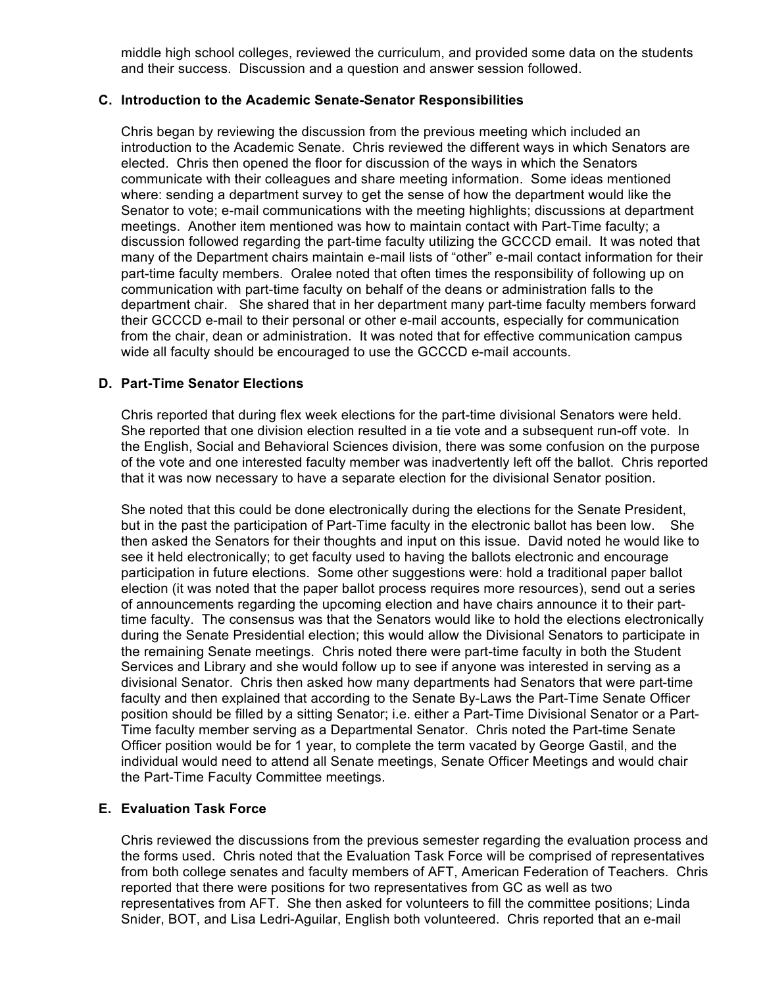middle high school colleges, reviewed the curriculum, and provided some data on the students and their success. Discussion and a question and answer session followed.

#### **C. Introduction to the Academic Senate-Senator Responsibilities**

Chris began by reviewing the discussion from the previous meeting which included an introduction to the Academic Senate. Chris reviewed the different ways in which Senators are elected. Chris then opened the floor for discussion of the ways in which the Senators communicate with their colleagues and share meeting information. Some ideas mentioned where: sending a department survey to get the sense of how the department would like the Senator to vote; e-mail communications with the meeting highlights; discussions at department meetings. Another item mentioned was how to maintain contact with Part-Time faculty; a discussion followed regarding the part-time faculty utilizing the GCCCD email. It was noted that many of the Department chairs maintain e-mail lists of "other" e-mail contact information for their part-time faculty members. Oralee noted that often times the responsibility of following up on communication with part-time faculty on behalf of the deans or administration falls to the department chair. She shared that in her department many part-time faculty members forward their GCCCD e-mail to their personal or other e-mail accounts, especially for communication from the chair, dean or administration. It was noted that for effective communication campus wide all faculty should be encouraged to use the GCCCD e-mail accounts.

# **D. Part-Time Senator Elections**

Chris reported that during flex week elections for the part-time divisional Senators were held. She reported that one division election resulted in a tie vote and a subsequent run-off vote. In the English, Social and Behavioral Sciences division, there was some confusion on the purpose of the vote and one interested faculty member was inadvertently left off the ballot. Chris reported that it was now necessary to have a separate election for the divisional Senator position.

She noted that this could be done electronically during the elections for the Senate President, but in the past the participation of Part-Time faculty in the electronic ballot has been low. She then asked the Senators for their thoughts and input on this issue. David noted he would like to see it held electronically; to get faculty used to having the ballots electronic and encourage participation in future elections. Some other suggestions were: hold a traditional paper ballot election (it was noted that the paper ballot process requires more resources), send out a series of announcements regarding the upcoming election and have chairs announce it to their parttime faculty. The consensus was that the Senators would like to hold the elections electronically during the Senate Presidential election; this would allow the Divisional Senators to participate in the remaining Senate meetings. Chris noted there were part-time faculty in both the Student Services and Library and she would follow up to see if anyone was interested in serving as a divisional Senator. Chris then asked how many departments had Senators that were part-time faculty and then explained that according to the Senate By-Laws the Part-Time Senate Officer position should be filled by a sitting Senator; i.e. either a Part-Time Divisional Senator or a Part-Time faculty member serving as a Departmental Senator. Chris noted the Part-time Senate Officer position would be for 1 year, to complete the term vacated by George Gastil, and the individual would need to attend all Senate meetings, Senate Officer Meetings and would chair the Part-Time Faculty Committee meetings.

# **E. Evaluation Task Force**

Chris reviewed the discussions from the previous semester regarding the evaluation process and the forms used. Chris noted that the Evaluation Task Force will be comprised of representatives from both college senates and faculty members of AFT, American Federation of Teachers. Chris reported that there were positions for two representatives from GC as well as two representatives from AFT. She then asked for volunteers to fill the committee positions; Linda Snider, BOT, and Lisa Ledri-Aguilar, English both volunteered. Chris reported that an e-mail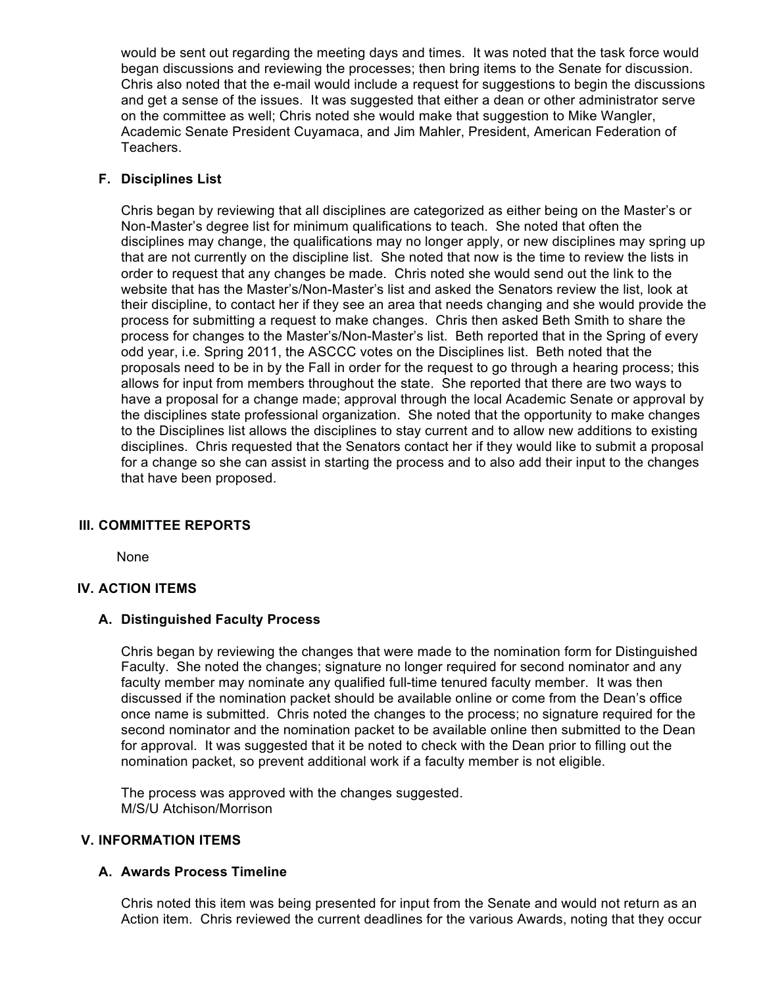would be sent out regarding the meeting days and times. It was noted that the task force would began discussions and reviewing the processes; then bring items to the Senate for discussion. Chris also noted that the e-mail would include a request for suggestions to begin the discussions and get a sense of the issues. It was suggested that either a dean or other administrator serve on the committee as well; Chris noted she would make that suggestion to Mike Wangler, Academic Senate President Cuyamaca, and Jim Mahler, President, American Federation of Teachers.

## **F. Disciplines List**

Chris began by reviewing that all disciplines are categorized as either being on the Master's or Non-Master's degree list for minimum qualifications to teach. She noted that often the disciplines may change, the qualifications may no longer apply, or new disciplines may spring up that are not currently on the discipline list. She noted that now is the time to review the lists in order to request that any changes be made. Chris noted she would send out the link to the website that has the Master's/Non-Master's list and asked the Senators review the list, look at their discipline, to contact her if they see an area that needs changing and she would provide the process for submitting a request to make changes. Chris then asked Beth Smith to share the process for changes to the Master's/Non-Master's list. Beth reported that in the Spring of every odd year, i.e. Spring 2011, the ASCCC votes on the Disciplines list. Beth noted that the proposals need to be in by the Fall in order for the request to go through a hearing process; this allows for input from members throughout the state. She reported that there are two ways to have a proposal for a change made; approval through the local Academic Senate or approval by the disciplines state professional organization. She noted that the opportunity to make changes to the Disciplines list allows the disciplines to stay current and to allow new additions to existing disciplines. Chris requested that the Senators contact her if they would like to submit a proposal for a change so she can assist in starting the process and to also add their input to the changes that have been proposed.

# **III. COMMITTEE REPORTS**

None

#### **IV. ACTION ITEMS**

#### **A. Distinguished Faculty Process**

Chris began by reviewing the changes that were made to the nomination form for Distinguished Faculty. She noted the changes; signature no longer required for second nominator and any faculty member may nominate any qualified full-time tenured faculty member. It was then discussed if the nomination packet should be available online or come from the Dean's office once name is submitted. Chris noted the changes to the process; no signature required for the second nominator and the nomination packet to be available online then submitted to the Dean for approval. It was suggested that it be noted to check with the Dean prior to filling out the nomination packet, so prevent additional work if a faculty member is not eligible.

The process was approved with the changes suggested. M/S/U Atchison/Morrison

#### **V. INFORMATION ITEMS**

#### **A. Awards Process Timeline**

Chris noted this item was being presented for input from the Senate and would not return as an Action item. Chris reviewed the current deadlines for the various Awards, noting that they occur